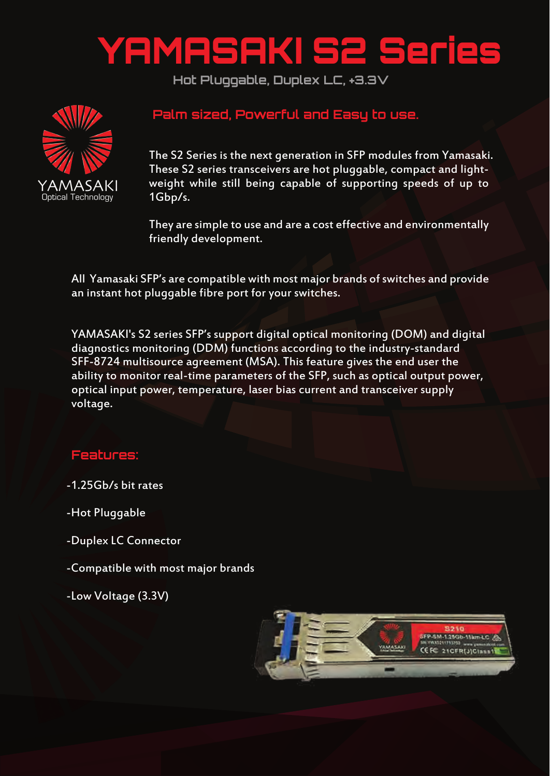## YAMASAKI S2 Series

**Hot Pluggable, Duplex LC, +3.3V**



## **Palm sized, Powerful and Easy to use.**

The S2 Series is the next generation in SFP modules from Yamasaki. These S2 series transceivers are hot pluggable, compact and lightweight while still being capable of supporting speeds of up to 1Gbp/s.

They are simple to use and are a cost effective and environmentally friendly development.

All Yamasaki SFP's are compatible with most major brands of switches and provide an instant hot pluggable fibre port for your switches.

YAMASAKI's S2 series SFP's support digital optical monitoring (DOM) and digital diagnostics monitoring (DDM) functions according to the industry-standard SFF-8724 multisource agreement (MSA). This feature gives the end user the ability to monitor real-time parameters of the SFP, such as optical output power, optical input power, temperature, laser bias current and transceiver supply voltage.

## **Features:**

-1.25Gb/s bit rates

-Hot Pluggable

-Duplex LC Connector

-Compatible with most major brands

-Low Voltage (3.3V)